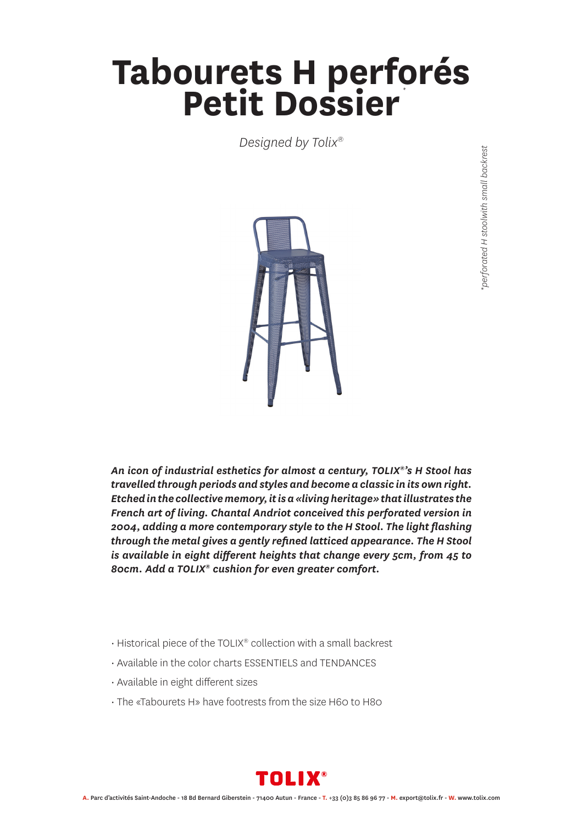## **Tabourets H perforés<br>Petit Dossier** *\**

*Designed by Tolix®*



*An icon of industrial esthetics for almost a century, TOLIX®'s H Stool has travelled through periods and styles and become a classic in its own right. Etched in the collective memory, it is a «living heritage» that illustrates the French art of living. Chantal Andriot conceived this perforated version in 2004, adding a more contemporary style to the H Stool. The light flashing through the metal gives a gently refined latticed appearance. The H Stool is available in eight different heights that change every 5cm, from 45 to 80cm. Add a TOLIX® cushion for even greater comfort.*

- Historical piece of the TOLIX® collection with a small backrest
- Available in the color charts ESSENTIELS and TENDANCES
- Available in eight different sizes
- The «Tabourets H» have footrests from the size H60 to H80